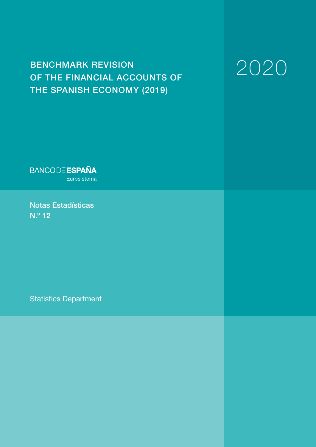# BENCHMARK REVISION OF THE FINANCIAL ACCOUNTS OF THE SPANISH ECONOMY (2019)

# 2020

**BANCODE ESPAÑA** Eurosistema

Notas Estadísticas N.º 12

Statistics Department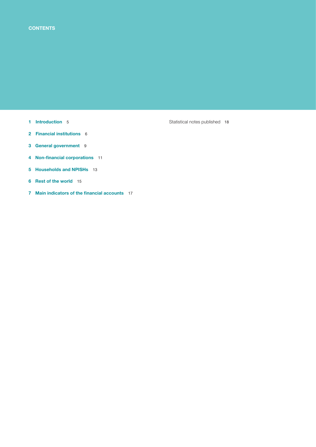- 
- 2 Financial institutions 6
- 3 General government 9
- 4 Non-financial corporations 11
- 5 Households and NPISHs 13
- 6 Rest of the world 15
- 7 Main indicators of the financial accounts 17

1 Introduction 5 Statistical notes published 18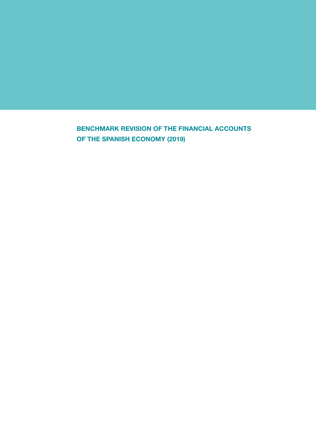BENCHMARK REVISION OF THE FINANCIAL ACCOUNTS OF THE SPANISH ECONOMY (2019)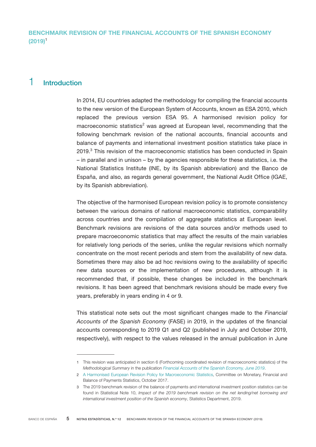# 1 Introduction

In 2014, EU countries adapted the methodology for compiling the financial accounts to the new version of the European System of Accounts, known as ESA 2010, which replaced the previous version ESA 95. A harmonised revision policy for macroeconomic statistics<sup>2</sup> was agreed at European level, recommending that the following benchmark revision of the national accounts, financial accounts and balance of payments and international investment position statistics take place in 2019.<sup>3</sup> This revision of the macroeconomic statistics has been conducted in Spain – in parallel and in unison – by the agencies responsible for these statistics, i.e. the National Statistics Institute (INE, by its Spanish abbreviation) and the Banco de España, and also, as regards general government, the National Audit Office (IGAE, by its Spanish abbreviation).

The objective of the harmonised European revision policy is to promote consistency between the various domains of national macroeconomic statistics, comparability across countries and the compilation of aggregate statistics at European level. Benchmark revisions are revisions of the data sources and/or methods used to prepare macroeconomic statistics that may affect the results of the main variables for relatively long periods of the series, unlike the regular revisions which normally concentrate on the most recent periods and stem from the availability of new data. Sometimes there may also be ad hoc revisions owing to the availability of specific new data sources or the implementation of new procedures, although it is recommended that, if possible, these changes be included in the benchmark revisions. It has been agreed that benchmark revisions should be made every five years, preferably in years ending in 4 or 9.

This statistical note sets out the most significant changes made to the *Financial Accounts of the Spanish Economy* (FASE) in 2019, in the updates of the financial accounts corresponding to 2019 Q1 and Q2 (published in July and October 2019, respectively), with respect to the values released in the annual publication in June

<sup>1</sup> This revision was anticipated in section 6 (Forthcoming coordinated revision of macroeconomic statistics) of the *Methodological Summary* in the publication *[Financial Accounts of the Spanish Economy, June 2019](https://www.bde.es/webbde/en/estadis/ccff/resumenmet.pdf)*.

<sup>2</sup> [A Harmonised European Revision Policy for Macroeconomic Statistics](https://circabc.europa.eu/sd/a/370b7c25-142d-40df-8397-248289a03bac/2017-10-13%2520-%2520CMFB%2520Communication%2520on%2520common%2520revision%2520policies.pdf), Committee on Monetary, Financial and Balance of Payments Statistics, October 2017.

<sup>3</sup> The 2019 benchmark revision of the balance of payments and international investment position statistics can be found in Statistical Note 10, *Impact of the 2019 benchmark revision on the net lending/net borrowing and international investment position of the Spanish economy*, Statistics Department, 2019.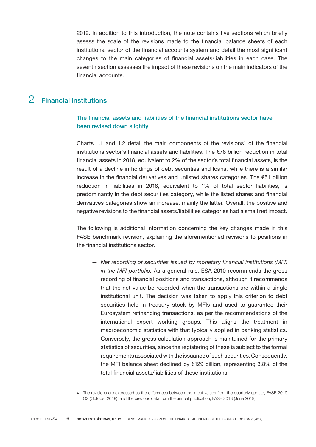2019. In addition to this introduction, the note contains five sections which briefly assess the scale of the revisions made to the financial balance sheets of each institutional sector of the financial accounts system and detail the most significant changes to the main categories of financial assets/liabilities in each case. The seventh section assesses the impact of these revisions on the main indicators of the financial accounts.

# 2 Financial institutions

## The financial assets and liabilities of the financial institutions sector have been revised down slightly

Charts 1.1 and 1.2 detail the main components of the revisions<sup>4</sup> of the financial institutions sector's financial assets and liabilities. The €78 billion reduction in total financial assets in 2018, equivalent to 2% of the sector's total financial assets, is the result of a decline in holdings of debt securities and loans, while there is a similar increase in the financial derivatives and unlisted shares categories. The €51 billion reduction in liabilities in 2018, equivalent to 1% of total sector liabilities, is predominantly in the debt securities category, while the listed shares and financial derivatives categories show an increase, mainly the latter. Overall, the positive and negative revisions to the financial assets/liabilities categories had a small net impact.

The following is additional information concerning the key changes made in this FASE benchmark revision, explaining the aforementioned revisions to positions in the financial institutions sector.

— *Net recording of securities issued by monetary financial institutions (MFI) in the MFI portfolio.* As a general rule, ESA 2010 recommends the gross recording of financial positions and transactions, although it recommends that the net value be recorded when the transactions are within a single institutional unit. The decision was taken to apply this criterion to debt securities held in treasury stock by MFIs and used to guarantee their Eurosystem refinancing transactions, as per the recommendations of the international expert working groups. This aligns the treatment in macroeconomic statistics with that typically applied in banking statistics. Conversely, the gross calculation approach is maintained for the primary statistics of securities, since the registering of these is subject to the formal requirements associated with the issuance of such securities. Consequently, the MFI balance sheet declined by €129 billion, representing 3.8% of the total financial assets/liabilities of these institutions.

<sup>4</sup> The revisions are expressed as the differences between the latest values from the quarterly update, FASE 2019 Q2 (October 2019), and the previous data from the annual publication, FASE 2018 (June 2019).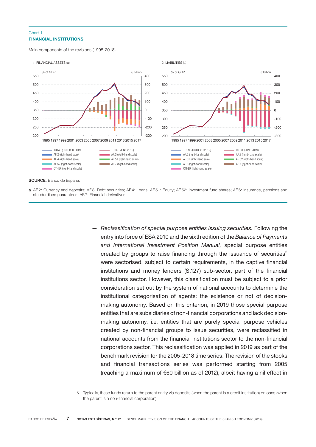#### FINANCIAL INSTITUTIONS Chart 1

Main components of the revisions (1995-2018).



SOURCE: Banco de España.

a AF.2: Currency and deposits; AF.3: Debt securities; AF.4: Loans; AF.51: Equity; AF.52: Investment fund shares; AF.6: Insurance, pensions and standardised guarantees; AF.7: Financial derivatives.

> — *Reclassification of special purpose entities issuing securities.* Following the entry into force of ESA 2010 and the sixth edition of the *Balance of Payments and International Investment Position Manual,* special purpose entities created by groups to raise financing through the issuance of securities<sup>5</sup> were sectorised, subject to certain requirements, in the captive financial institutions and money lenders (S.127) sub-sector, part of the financial institutions sector. However, this classification must be subject to a prior consideration set out by the system of national accounts to determine the institutional categorisation of agents: the existence or not of decisionmaking autonomy. Based on this criterion, in 2019 those special purpose entities that are subsidiaries of non-financial corporations and lack decisionmaking autonomy, i.e. entities that are purely special purpose vehicles created by non-financial groups to issue securities, were reclassified in national accounts from the financial institutions sector to the non-financial corporations sector. This reclassification was applied in 2019 as part of the benchmark revision for the 2005-2018 time series. The revision of the stocks and financial transactions series was performed starting from 2005 (reaching a maximum of €60 billion as of 2012), albeit having a nil effect in

<sup>5</sup> Typically, these funds return to the parent entity via deposits (when the parent is a credit institution) or loans (when the parent is a non-financial corporation).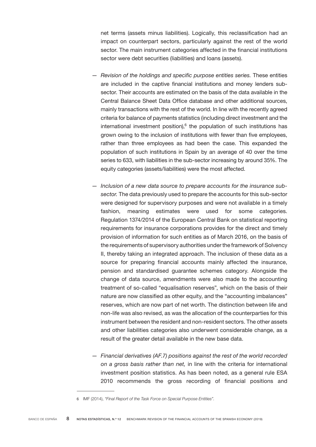net terms (assets minus liabilities). Logically, this reclassification had an impact on counterpart sectors, particularly against the rest of the world sector. The main instrument categories affected in the financial institutions sector were debt securities (liabilities) and loans (assets).

- *Revision of the holdings and specific purpose entities series.* These entities are included in the captive financial institutions and money lenders subsector. Their accounts are estimated on the basis of the data available in the Central Balance Sheet Data Office database and other additional sources, mainly transactions with the rest of the world. In line with the recently agreed criteria for balance of payments statistics (including direct investment and the international investment position), $6$  the population of such institutions has grown owing to the inclusion of institutions with fewer than five employees, rather than three employees as had been the case. This expanded the population of such institutions in Spain by an average of 40 over the time series to 633, with liabilities in the sub-sector increasing by around 35%. The equity categories (assets/liabilities) were the most affected.
- *Inclusion of a new data source to prepare accounts for the insurance subsector.* The data previously used to prepare the accounts for this sub-sector were designed for supervisory purposes and were not available in a timely fashion, meaning estimates were used for some categories. Regulation 1374/2014 of the European Central Bank on statistical reporting requirements for insurance corporations provides for the direct and timely provision of information for such entities as of March 2016, on the basis of the requirements of supervisory authorities under the framework of Solvency II, thereby taking an integrated approach. The inclusion of these data as a source for preparing financial accounts mainly affected the insurance, pension and standardised guarantee schemes category. Alongside the change of data source, amendments were also made to the accounting treatment of so-called "equalisation reserves", which on the basis of their nature are now classified as other equity, and the "accounting imbalances" reserves, which are now part of net worth. The distinction between life and non-life was also revised, as was the allocation of the counterparties for this instrument between the resident and non-resident sectors. The other assets and other liabilities categories also underwent considerable change, as a result of the greater detail available in the new base data.
- *Financial derivatives (AF.7) positions against the rest of the world recorded on a gross basis rather than net,* in line with the criteria for international investment position statistics. As has been noted, as a general rule ESA 2010 recommends the gross recording of financial positions and

<sup>6</sup> IMF (2014), *"Final Report of the Task Force on Special Purpose Entities".*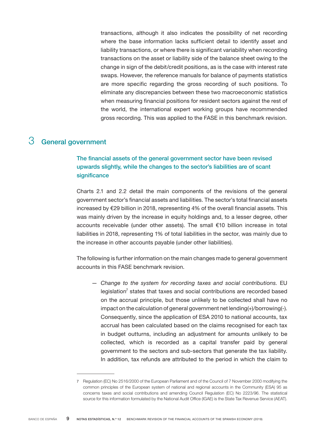transactions, although it also indicates the possibility of net recording where the base information lacks sufficient detail to identify asset and liability transactions, or where there is significant variability when recording transactions on the asset or liability side of the balance sheet owing to the change in sign of the debit/credit positions, as is the case with interest rate swaps. However, the reference manuals for balance of payments statistics are more specific regarding the gross recording of such positions. To eliminate any discrepancies between these two macroeconomic statistics when measuring financial positions for resident sectors against the rest of the world, the international expert working groups have recommended gross recording. This was applied to the FASE in this benchmark revision.

# 3 General government

## The financial assets of the general government sector have been revised upwards slightly, while the changes to the sector's liabilities are of scant significance

Charts 2.1 and 2.2 detail the main components of the revisions of the general government sector's financial assets and liabilities. The sector's total financial assets increased by €29 billion in 2018, representing 4% of the overall financial assets. This was mainly driven by the increase in equity holdings and, to a lesser degree, other accounts receivable (under other assets). The small €10 billion increase in total liabilities in 2018, representing 1% of total liabilities in the sector, was mainly due to the increase in other accounts payable (under other liabilities).

The following is further information on the main changes made to general government accounts in this FASE benchmark revision.

*— Change to the system for recording taxes and social contributions.* EU legislation<sup>7</sup> states that taxes and social contributions are recorded based on the accrual principle, but those unlikely to be collected shall have no impact on the calculation of general government net lending $(+)$ /borrowing $(-)$ . Consequently, since the application of ESA 2010 to national accounts, tax accrual has been calculated based on the claims recognised for each tax in budget outturns, including an adjustment for amounts unlikely to be collected, which is recorded as a capital transfer paid by general government to the sectors and sub-sectors that generate the tax liability. In addition, tax refunds are attributed to the period in which the claim to

<sup>7</sup> Regulation (EC) No 2516/2000 of the European Parliament and of the Council of 7 November 2000 modifying the common principles of the European system of national and regional accounts in the Community (ESA) 95 as concerns taxes and social contributions and amending Council Regulation (EC) No 2223/96. The statistical source for this information formulated by the National Audit Office (IGAE) is the State Tax Revenue Service (AEAT).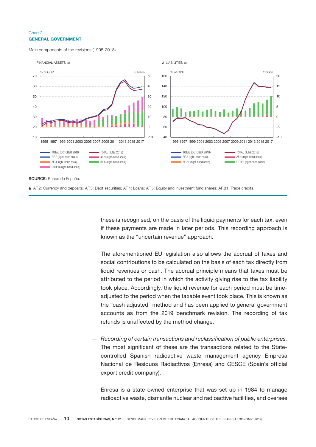### GENERAL GOVERNMENT Chart 2

Main components of the revisions (1995-2018).



a AF.2: Currency and deposits; AF.3: Debt securities; AF.4: Loans; AF.5: Equity and investment fund shares; AF.81: Trade credits.

these is recognised, on the basis of the liquid payments for each tax, even if these payments are made in later periods. This recording approach is known as the "uncertain revenue" approach.

The aforementioned EU legislation also allows the accrual of taxes and social contributions to be calculated on the basis of each tax directly from liquid revenues or cash. The accrual principle means that taxes must be attributed to the period in which the activity giving rise to the tax liability took place. Accordingly, the liquid revenue for each period must be timeadjusted to the period when the taxable event took place. This is known as the "cash adjusted" method and has been applied to general government accounts as from the 2019 benchmark revision. The recording of tax refunds is unaffected by the method change.

*— Recording of certain transactions and reclassification of public enterprises.* The most significant of these are the transactions related to the Statecontrolled Spanish radioactive waste management agency Empresa Nacional de Residuos Radiactivos (Enresa) and CESCE (Spain's official export credit company).

Enresa is a state-owned enterprise that was set up in 1984 to manage radioactive waste, dismantle nuclear and radioactive facilities, and oversee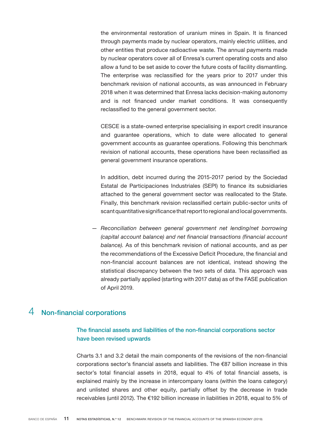the environmental restoration of uranium mines in Spain. It is financed through payments made by nuclear operators, mainly electric utilities, and other entities that produce radioactive waste. The annual payments made by nuclear operators cover all of Enresa's current operating costs and also allow a fund to be set aside to cover the future costs of facility dismantling. The enterprise was reclassified for the years prior to 2017 under this benchmark revision of national accounts, as was announced in February 2018 when it was determined that Enresa lacks decision-making autonomy and is not financed under market conditions. It was consequently reclassified to the general government sector.

CESCE is a state-owned enterprise specialising in export credit insurance and guarantee operations, which to date were allocated to general government accounts as guarantee operations. Following this benchmark revision of national accounts, these operations have been reclassified as general government insurance operations.

In addition, debt incurred during the 2015-2017 period by the Sociedad Estatal de Participaciones Industriales (SEPI) to finance its subsidiaries attached to the general government sector was reallocated to the State. Finally, this benchmark revision reclassified certain public-sector units of scant quantitative significance that report to regional and local governments.

*— Reconciliation between general government net lending/net borrowing (capital account balance) and net financial transactions (financial account balance).* As of this benchmark revision of national accounts, and as per the recommendations of the Excessive Deficit Procedure, the financial and non-financial account balances are not identical, instead showing the statistical discrepancy between the two sets of data. This approach was already partially applied (starting with 2017 data) as of the FASE publication of April 2019.

# 4 Non-financial corporations

## The financial assets and liabilities of the non-financial corporations sector have been revised upwards

Charts 3.1 and 3.2 detail the main components of the revisions of the non-financial corporations sector's financial assets and liabilities. The  $\epsilon$ 87 billion increase in this sector's total financial assets in 2018, equal to 4% of total financial assets, is explained mainly by the increase in intercompany loans (within the loans category) and unlisted shares and other equity, partially offset by the decrease in trade receivables (until 2012). The €192 billion increase in liabilities in 2018, equal to 5% of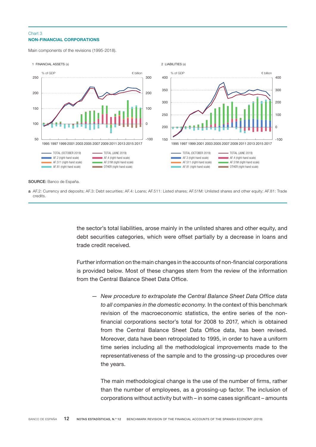#### NON-FINANCIAL CORPORATIONS Chart 3

Main components of the revisions (1995-2018).



SOURCE: Banco de España.

a AF.2: Currency and deposits; AF.3: Debt securities; AF.4: Loans; AF.511: Listed shares; AF.51M: Unlisted shares and other equity; AF.81: Trade credits.

> the sector's total liabilities, arose mainly in the unlisted shares and other equity, and debt securities categories, which were offset partially by a decrease in loans and trade credit received.

> Further information on the main changes in the accounts of non-financial corporations is provided below. Most of these changes stem from the review of the information from the Central Balance Sheet Data Office.

*— New procedure to extrapolate the Central Balance Sheet Data Office data to all companies in the domestic economy.* In the context of this benchmark revision of the macroeconomic statistics, the entire series of the nonfinancial corporations sector's total for 2008 to 2017, which is obtained from the Central Balance Sheet Data Office data, has been revised. Moreover, data have been retropolated to 1995, in order to have a uniform time series including all the methodological improvements made to the representativeness of the sample and to the grossing-up procedures over the years.

The main methodological change is the use of the number of firms, rather than the number of employees, as a grossing-up factor. The inclusion of corporations without activity but with – in some cases significant – amounts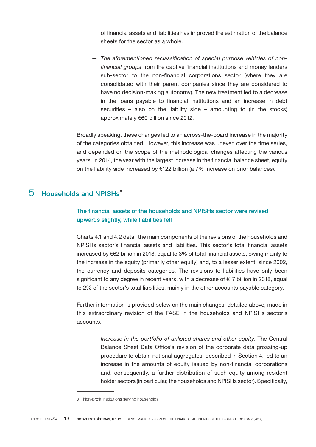of financial assets and liabilities has improved the estimation of the balance sheets for the sector as a whole.

*— The aforementioned reclassification of special purpose vehicles of nonfinancial groups* from the captive financial institutions and money lenders sub-sector to the non-financial corporations sector (where they are consolidated with their parent companies since they are considered to have no decision-making autonomy). The new treatment led to a decrease in the loans payable to financial institutions and an increase in debt securities – also on the liability side – amounting to (in the stocks) approximately €60 billion since 2012.

Broadly speaking, these changes led to an across-the-board increase in the majority of the categories obtained. However, this increase was uneven over the time series, and depended on the scope of the methodological changes affecting the various years. In 2014, the year with the largest increase in the financial balance sheet, equity on the liability side increased by  $£122$  billion (a 7% increase on prior balances).

## $5$  Households and NPISHs<sup>8</sup>

## The financial assets of the households and NPISHs sector were revised upwards slightly, while liabilities fell

Charts 4.1 and 4.2 detail the main components of the revisions of the households and NPISHs sector's financial assets and liabilities. This sector's total financial assets increased by €62 billion in 2018, equal to 3% of total financial assets, owing mainly to the increase in the equity (primarily other equity) and, to a lesser extent, since 2002, the currency and deposits categories. The revisions to liabilities have only been significant to any degree in recent years, with a decrease of €17 billion in 2018, equal to 2% of the sector's total liabilities, mainly in the other accounts payable category.

Further information is provided below on the main changes, detailed above, made in this extraordinary revision of the FASE in the households and NPISHs sector's accounts.

*— Increase in the portfolio of unlisted shares and other equity.* The Central Balance Sheet Data Office's revision of the corporate data grossing-up procedure to obtain national aggregates, described in Section 4, led to an increase in the amounts of equity issued by non-financial corporations and, consequently, a further distribution of such equity among resident holder sectors (in particular, the households and NPISHs sector). Specifically,

<sup>8</sup> Non-profit institutions serving households.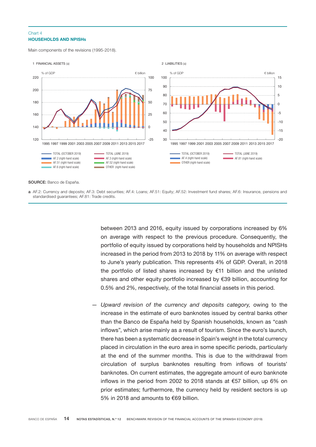#### HOUSEHOLDS AND NPISHs Chart 4

Main components of the revisions (1995-2018).



```
SOURCE: Banco de España.
```
a AF.2: Currency and deposits; AF.3: Debt securities; AF.4: Loans; AF.51: Equity; AF.52: Investment fund shares; AF.6: Insurance, pensions and standardised guarantees; AF.81: Trade credits.

> between 2013 and 2016, equity issued by corporations increased by 6% on average with respect to the previous procedure. Consequently, the portfolio of equity issued by corporations held by households and NPISHs increased in the period from 2013 to 2018 by 11% on average with respect to June's yearly publication. This represents 4% of GDP. Overall, in 2018 the portfolio of listed shares increased by €11 billion and the unlisted shares and other equity portfolio increased by €39 billion, accounting for 0.5% and 2%, respectively, of the total financial assets in this period.

*— Upward revision of the currency and deposits category,* owing to the increase in the estimate of euro banknotes issued by central banks other than the Banco de España held by Spanish households, known as "cash inflows", which arise mainly as a result of tourism. Since the euro's launch, there has been a systematic decrease in Spain's weight in the total currency placed in circulation in the euro area in some specific periods, particularly at the end of the summer months. This is due to the withdrawal from circulation of surplus banknotes resulting from inflows of tourists' banknotes. On current estimates, the aggregate amount of euro banknote inflows in the period from 2002 to 2018 stands at €57 billion, up 6% on prior estimates; furthermore, the currency held by resident sectors is up 5% in 2018 and amounts to €69 billion.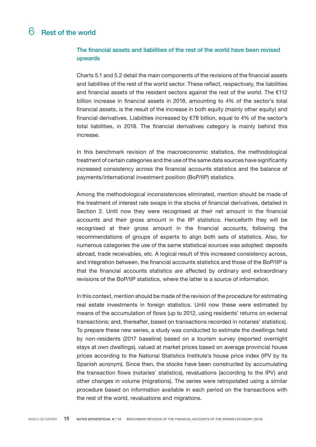## 6 Rest of the world

## The financial assets and liabilities of the rest of the world have been revised upwards

Charts 5.1 and 5.2 detail the main components of the revisions of the financial assets and liabilities of the rest of the world sector. These reflect, respectively, the liabilities and financial assets of the resident sectors against the rest of the world. The  $E112$ billion increase in financial assets in 2018, amounting to 4% of the sector's total financial assets, is the result of the increase in both equity (mainly other equity) and financial derivatives. Liabilities increased by €78 billion, equal to 4% of the sector's total liabilities, in 2018. The financial derivatives category is mainly behind this increase.

In this benchmark revision of the macroeconomic statistics, the methodological treatment of certain categories and the use of the same data sources have significantly increased consistency across the financial accounts statistics and the balance of payments/international investment position (BoP/IIP) statistics.

Among the methodological inconsistencies eliminated, mention should be made of the treatment of interest rate swaps in the stocks of financial derivatives, detailed in Section 2. Until now they were recognised at their net amount in the financial accounts and their gross amount in the IIP statistics. Henceforth they will be recognised at their gross amount in the financial accounts, following the recommendations of groups of experts to align both sets of statistics. Also, for numerous categories the use of the same statistical sources was adopted: deposits abroad, trade receivables, etc. A logical result of this increased consistency across, and integration between, the financial accounts statistics and those of the BoP/IIP is that the financial accounts statistics are affected by ordinary and extraordinary revisions of the BoP/IIP statistics, where the latter is a source of information.

In this context, mention should be made of the revision of the procedure for estimating real estate investments in foreign statistics. Until now these were estimated by means of the accumulation of flows (up to 2012, using residents' returns on external transactions; and, thereafter, based on transactions recorded in notaries' statistics). To prepare these new series, a study was conducted to estimate the dwellings held by non-residents (2017 baseline) based on a tourism survey (reported overnight stays at own dwellings), valued at market prices based on average provincial house prices according to the National Statistics Institute's house price index (IPV by its Spanish acronym). Since then, the stocks have been constructed by accumulating the transaction flows (notaries' statistics), revaluations (according to the IPV) and other changes in volume (migrations). The series were retropolated using a similar procedure based on information available in each period on the transactions with the rest of the world, revaluations and migrations.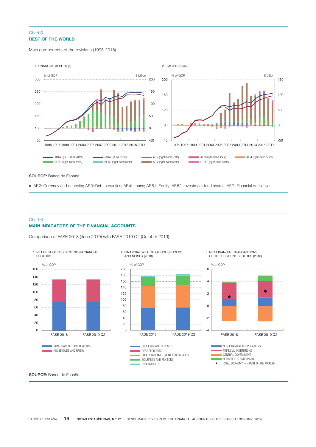### REST OF THE WORLD Chart 5

Main components of the revisions (1995-2018).



SOURCE: Banco de España.

a AF.2: Currency and deposits; AF.3: Debt securities; AF.4: Loans; AF.51: Equity; AF.52: Investment fund shares; AF.7: Financial derivatives.

#### MAIN INDICATORS OF THE FINANCIAL ACCOUNTS Chart 6

Comparison of FASE 2018 (June 2019) with FASE 2019 Q2 (October 2019).



SOURCE: Banco de España.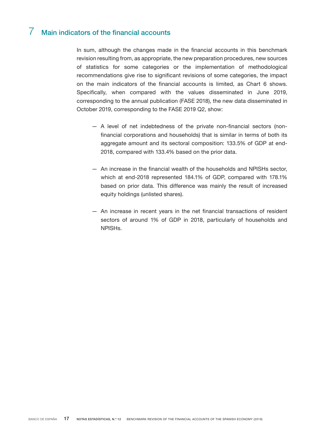# 7 Main indicators of the financial accounts

In sum, although the changes made in the financial accounts in this benchmark revision resulting from, as appropriate, the new preparation procedures, new sources of statistics for some categories or the implementation of methodological recommendations give rise to significant revisions of some categories, the impact on the main indicators of the financial accounts is limited, as Chart 6 shows. Specifically, when compared with the values disseminated in June 2019, corresponding to the annual publication (FASE 2018), the new data disseminated in October 2019, corresponding to the FASE 2019 Q2, show:

- A level of net indebtedness of the private non-financial sectors (nonfinancial corporations and households) that is similar in terms of both its aggregate amount and its sectoral composition: 133.5% of GDP at end-2018, compared with 133.4% based on the prior data.
- An increase in the financial wealth of the households and NPISHs sector, which at end-2018 represented 184.1% of GDP, compared with 178.1% based on prior data. This difference was mainly the result of increased equity holdings (unlisted shares).
- An increase in recent years in the net financial transactions of resident sectors of around 1% of GDP in 2018, particularly of households and NPISHs.